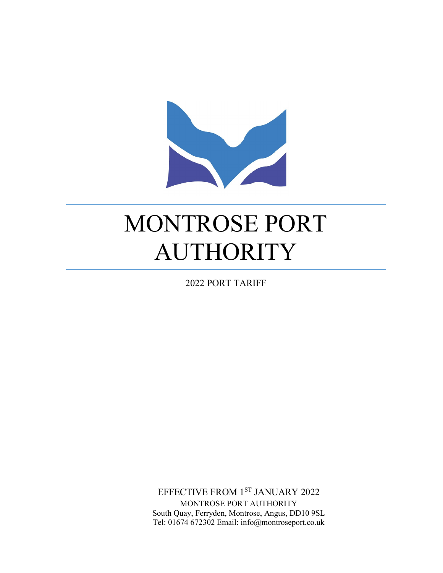

# MONTROSE PORT AUTHORITY

2022 PORT TARIFF

EFFECTIVE FROM 1<sup>ST</sup> JANUARY 2022 MONTROSE PORT AUTHORITY South Quay, Ferryden, Montrose, Angus, DD10 9SL Tel: 01674 672302 Email: info@montroseport.co.uk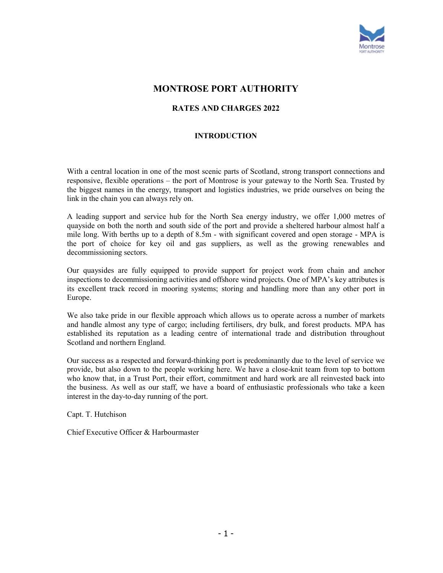

## MONTROSE PORT AUTHORITY

### RATES AND CHARGES 2022

#### INTRODUCTION

With a central location in one of the most scenic parts of Scotland, strong transport connections and responsive, flexible operations – the port of Montrose is your gateway to the North Sea. Trusted by the biggest names in the energy, transport and logistics industries, we pride ourselves on being the link in the chain you can always rely on.

A leading support and service hub for the North Sea energy industry, we offer 1,000 metres of quayside on both the north and south side of the port and provide a sheltered harbour almost half a mile long. With berths up to a depth of 8.5m - with significant covered and open storage - MPA is the port of choice for key oil and gas suppliers, as well as the growing renewables and decommissioning sectors.

Our quaysides are fully equipped to provide support for project work from chain and anchor inspections to decommissioning activities and offshore wind projects. One of MPA's key attributes is its excellent track record in mooring systems; storing and handling more than any other port in Europe.

We also take pride in our flexible approach which allows us to operate across a number of markets and handle almost any type of cargo; including fertilisers, dry bulk, and forest products. MPA has established its reputation as a leading centre of international trade and distribution throughout Scotland and northern England.

Our success as a respected and forward-thinking port is predominantly due to the level of service we provide, but also down to the people working here. We have a close-knit team from top to bottom who know that, in a Trust Port, their effort, commitment and hard work are all reinvested back into the business. As well as our staff, we have a board of enthusiastic professionals who take a keen interest in the day-to-day running of the port.

Capt. T. Hutchison

Chief Executive Officer & Harbourmaster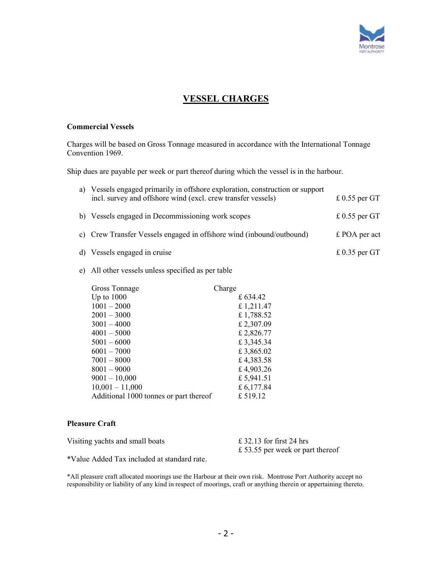

## VESSEL CHARGES

#### Commercial Vessels

Charges will be based on Gross Tonnage measured in accordance with the International Tonnage Convention 1969.

Ship dues are payable per week or part thereof during which the vessel is in the harbour.

| a) Vessels engaged primarily in offshore exploration, construction or support<br>incl. survey and offshore wind (excl. crew transfer vessels) | £ 0.55 per $GT$ |
|-----------------------------------------------------------------------------------------------------------------------------------------------|-----------------|
| b) Vessels engaged in Decommissioning work scopes                                                                                             | £ 0.55 per $GT$ |
| c) Crew Transfer Vessels engaged in offshore wind (inbound/outbound)                                                                          | $£$ POA per act |
| d) Vessels engaged in cruise                                                                                                                  | £ 0.35 per $GT$ |
|                                                                                                                                               |                 |

#### e) All other vessels unless specified as per table

| Gross Tonnage                          | Charge     |
|----------------------------------------|------------|
| Up to $1000$                           | £ $634.42$ |
| $1001 - 2000$                          | £1,211.47  |
| $2001 - 3000$                          | £1,788.52  |
| $3001 - 4000$                          | £ 2,307.09 |
| $4001 - 5000$                          | £ 2,826.77 |
| $5001 - 6000$                          | £3,345.34  |
| $6001 - 7000$                          | £3,865.02  |
| $7001 - 8000$                          | £4,383.58  |
| $8001 - 9000$                          | £4,903.26  |
| $9001 - 10,000$                        | £ 5,941.51 |
| $10,001 - 11,000$                      | £ 6,177.84 |
| Additional 1000 tonnes or part thereof | £ 519.12   |
|                                        |            |

#### Pleasure Craft

| Visiting yachts and small boats | £ 32.13 for first 24 hrs         |
|---------------------------------|----------------------------------|
|                                 | £ 53.55 per week or part thereof |

\*Value Added Tax included at standard rate.

\*All pleasure craft allocated moorings use the Harbour at their own risk. Montrose Port Authority accept no responsibility or liability of any kind in respect of moorings, craft or anything therein or appertaining thereto.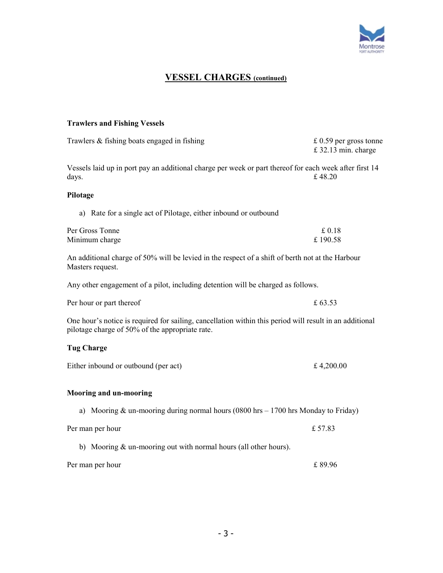

# VESSEL CHARGES (continued)

|  | <b>Trawlers and Fishing Vessels</b> |  |  |  |  |
|--|-------------------------------------|--|--|--|--|
|--|-------------------------------------|--|--|--|--|

| Trawlers & fishing boats engaged in fishing                                                                                                                | £ 0.59 per gross tonne<br>£ 32.13 min. charge |  |  |
|------------------------------------------------------------------------------------------------------------------------------------------------------------|-----------------------------------------------|--|--|
| Vessels laid up in port pay an additional charge per week or part thereof for each week after first 14<br>days.                                            | £48.20                                        |  |  |
| Pilotage                                                                                                                                                   |                                               |  |  |
| a) Rate for a single act of Pilotage, either inbound or outbound                                                                                           |                                               |  |  |
| Per Gross Tonne<br>Minimum charge                                                                                                                          | £0.18<br>£190.58                              |  |  |
| An additional charge of 50% will be levied in the respect of a shift of berth not at the Harbour<br>Masters request.                                       |                                               |  |  |
| Any other engagement of a pilot, including detention will be charged as follows.                                                                           |                                               |  |  |
| Per hour or part thereof                                                                                                                                   | £ 63.53                                       |  |  |
| One hour's notice is required for sailing, cancellation within this period will result in an additional<br>pilotage charge of 50% of the appropriate rate. |                                               |  |  |
| <b>Tug Charge</b>                                                                                                                                          |                                               |  |  |
| Either inbound or outbound (per act)                                                                                                                       | £4,200.00                                     |  |  |
| Mooring and un-mooring                                                                                                                                     |                                               |  |  |
| Mooring & un-mooring during normal hours (0800 hrs $-1700$ hrs Monday to Friday)<br>a)                                                                     |                                               |  |  |
| Per man per hour                                                                                                                                           | £57.83                                        |  |  |
| b) Mooring $&$ un-mooring out with normal hours (all other hours).                                                                                         |                                               |  |  |
| £89.96<br>Per man per hour                                                                                                                                 |                                               |  |  |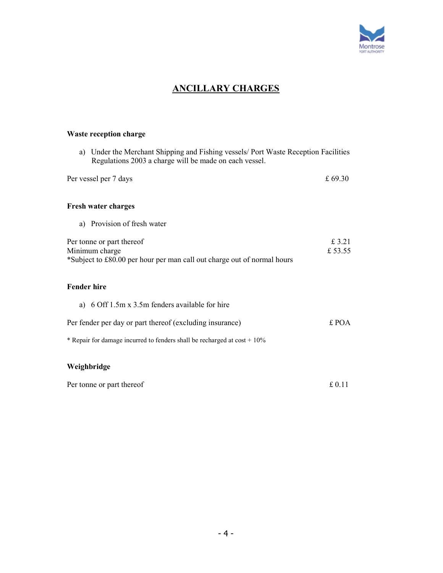

# ANCILLARY CHARGES

## Waste reception charge

a) Under the Merchant Shipping and Fishing vessels/ Port Waste Reception Facilities Regulations 2003 a charge will be made on each vessel.

| Per vessel per 7 days                                                   | £69.30  |
|-------------------------------------------------------------------------|---------|
| <b>Fresh water charges</b>                                              |         |
| Provision of fresh water<br>a)                                          |         |
| Per tonne or part thereof                                               | £ 3.21  |
| Minimum charge                                                          | £ 53.55 |
| *Subject to £80.00 per hour per man call out charge out of normal hours |         |
|                                                                         |         |

## Fender hire

| a) 6 Off 1.5m x 3.5m fenders available for hire                             |       |
|-----------------------------------------------------------------------------|-------|
| Per fender per day or part thereof (excluding insurance)                    | £ POA |
| * Repair for damage incurred to fenders shall be recharged at $cost + 10\%$ |       |
| Weighbridge                                                                 |       |

| Per tonne or part thereof | £ 0.11 |
|---------------------------|--------|
|---------------------------|--------|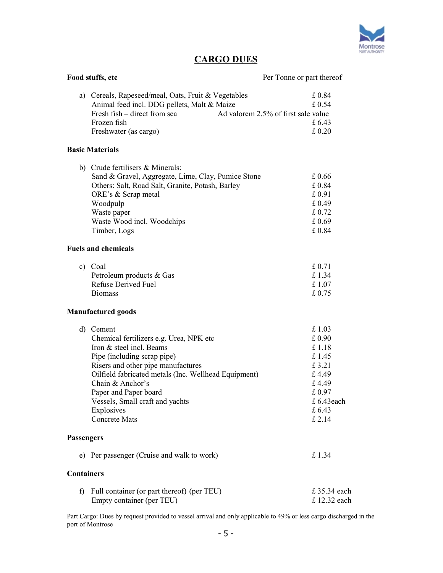

# CARGO DUES

| Food stuffs, etc  |                                                                                                                                                                                                                                                                                                                                     | Per Tonne or part thereof                                                                             |  |
|-------------------|-------------------------------------------------------------------------------------------------------------------------------------------------------------------------------------------------------------------------------------------------------------------------------------------------------------------------------------|-------------------------------------------------------------------------------------------------------|--|
| a)                | Cereals, Rapeseed/meal, Oats, Fruit & Vegetables<br>Animal feed incl. DDG pellets, Malt & Maize<br>Fresh fish – direct from sea<br>Frozen fish<br>Freshwater (as cargo)                                                                                                                                                             | £0.84<br>£ 0.54<br>Ad valorem 2.5% of first sale value<br>£6.43<br>£0.20                              |  |
|                   | <b>Basic Materials</b>                                                                                                                                                                                                                                                                                                              |                                                                                                       |  |
|                   | b) Crude fertilisers & Minerals:<br>Sand & Gravel, Aggregate, Lime, Clay, Pumice Stone<br>Others: Salt, Road Salt, Granite, Potash, Barley<br>ORE's & Scrap metal<br>Woodpulp<br>Waste paper<br>Waste Wood incl. Woodchips<br>Timber, Logs                                                                                          | £0.66<br>£0.84<br>£0.91<br>£0.49<br>£0.72<br>£ 0.69<br>£0.84                                          |  |
|                   | <b>Fuels and chemicals</b>                                                                                                                                                                                                                                                                                                          |                                                                                                       |  |
|                   | c) Coal<br>Petroleum products & Gas<br><b>Refuse Derived Fuel</b><br><b>Biomass</b>                                                                                                                                                                                                                                                 | £0.71<br>£1.34<br>£1.07<br>£0.75                                                                      |  |
|                   | <b>Manufactured goods</b>                                                                                                                                                                                                                                                                                                           |                                                                                                       |  |
|                   | d) Cement<br>Chemical fertilizers e.g. Urea, NPK etc<br>Iron & steel incl. Beams<br>Pipe (including scrap pipe)<br>Risers and other pipe manufactures<br>Oilfield fabricated metals (Inc. Wellhead Equipment)<br>Chain & Anchor's<br>Paper and Paper board<br>Vessels, Small craft and yachts<br>Explosives<br><b>Concrete Mats</b> | £1.03<br>£0.90<br>£1.18<br>£1.45<br>£3.21<br>£4.49<br>£4.49<br>£0.97<br>£ 6.43each<br>£6.43<br>£ 2.14 |  |
| <b>Passengers</b> |                                                                                                                                                                                                                                                                                                                                     |                                                                                                       |  |
|                   | e) Per passenger (Cruise and walk to work)                                                                                                                                                                                                                                                                                          | £1.34                                                                                                 |  |
| Containers        |                                                                                                                                                                                                                                                                                                                                     |                                                                                                       |  |
| f                 | Full container (or part thereof) (per TEU)<br>Empty container (per TEU)                                                                                                                                                                                                                                                             | £ 35.34 each<br>£ 12.32 each                                                                          |  |

Part Cargo: Dues by request provided to vessel arrival and only applicable to 49% or less cargo discharged in the port of Montrose